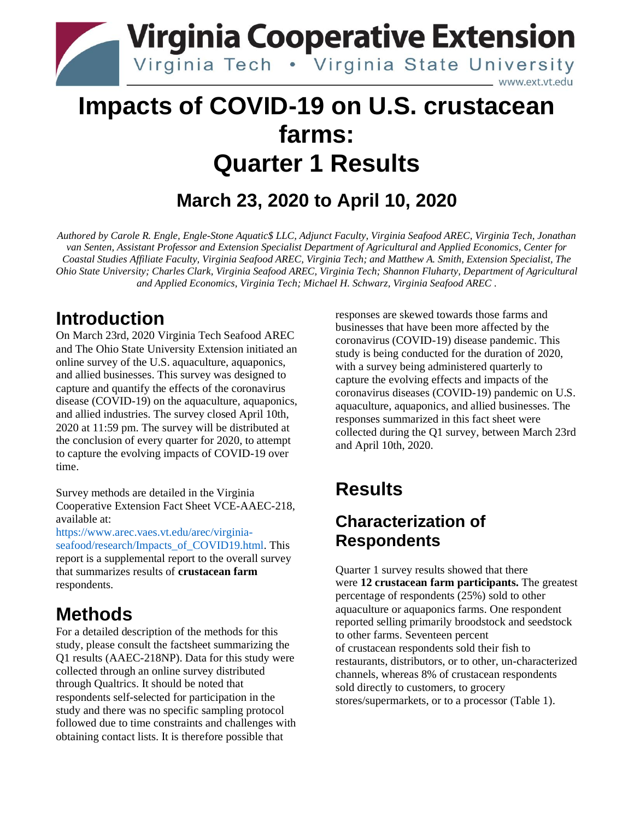

## **Impacts of COVID-19 on U.S. crustacean farms: Quarter 1 Results**

## **March 23, 2020 to April 10, 2020**

*Authored by Carole R. Engle, Engle-Stone Aquatic\$ LLC, Adjunct Faculty, Virginia Seafood AREC, Virginia Tech, Jonathan van Senten, Assistant Professor and Extension Specialist Department of Agricultural and Applied Economics, Center for Coastal Studies Affiliate Faculty, Virginia Seafood AREC, Virginia Tech; and Matthew A. Smith, Extension Specialist, The Ohio State University; Charles Clark, Virginia Seafood AREC, Virginia Tech; Shannon Fluharty, Department of Agricultural and Applied Economics, Virginia Tech; Michael H. Schwarz, Virginia Seafood AREC .* 

### **Introduction**

On March 23rd, 2020 Virginia Tech Seafood AREC and The Ohio State University Extension initiated an online survey of the U.S. aquaculture, aquaponics, and allied businesses. This survey was designed to capture and quantify the effects of the coronavirus disease (COVID-19) on the aquaculture, aquaponics, and allied industries. The survey closed April 10th, 2020 at 11:59 pm. The survey will be distributed at the conclusion of every quarter for 2020, to attempt to capture the evolving impacts of COVID-19 over time.

Survey methods are detailed in the Virginia Cooperative Extension Fact Sheet VCE-AAEC-218, available at:

[https://www.arec.vaes.vt.edu/arec/virginia](https://www.arec.vaes.vt.edu/arec/virginia-seafood/research/Impacts_of_COVID19.html)[seafood/research/Impacts\\_of\\_COVID19.html.](https://www.arec.vaes.vt.edu/arec/virginia-seafood/research/Impacts_of_COVID19.html) This report is a supplemental report to the overall survey that summarizes results of **crustacean farm** respondents.

### **Methods**

For a detailed description of the methods for this study, please consult the factsheet summarizing the Q1 results (AAEC-218NP). Data for this study were collected through an online survey distributed through Qualtrics. It should be noted that respondents self-selected for participation in the study and there was no specific sampling protocol followed due to time constraints and challenges with obtaining contact lists. It is therefore possible that

responses are skewed towards those farms and businesses that have been more affected by the coronavirus (COVID-19) disease pandemic. This study is being conducted for the duration of 2020, with a survey being administered quarterly to capture the evolving effects and impacts of the coronavirus diseases (COVID-19) pandemic on U.S. aquaculture, aquaponics, and allied businesses. The responses summarized in this fact sheet were collected during the Q1 survey, between March 23rd and April 10th, 2020.

## **Results**

### **Characterization of Respondents**

Quarter 1 survey results showed that there were **12 crustacean farm participants.** The greatest percentage of respondents (25%) sold to other aquaculture or aquaponics farms. One respondent reported selling primarily broodstock and seedstock to other farms. Seventeen percent of crustacean respondents sold their fish to restaurants, distributors, or to other, un-characterized channels, whereas 8% of crustacean respondents sold directly to customers, to grocery stores/supermarkets, or to a processor (Table 1).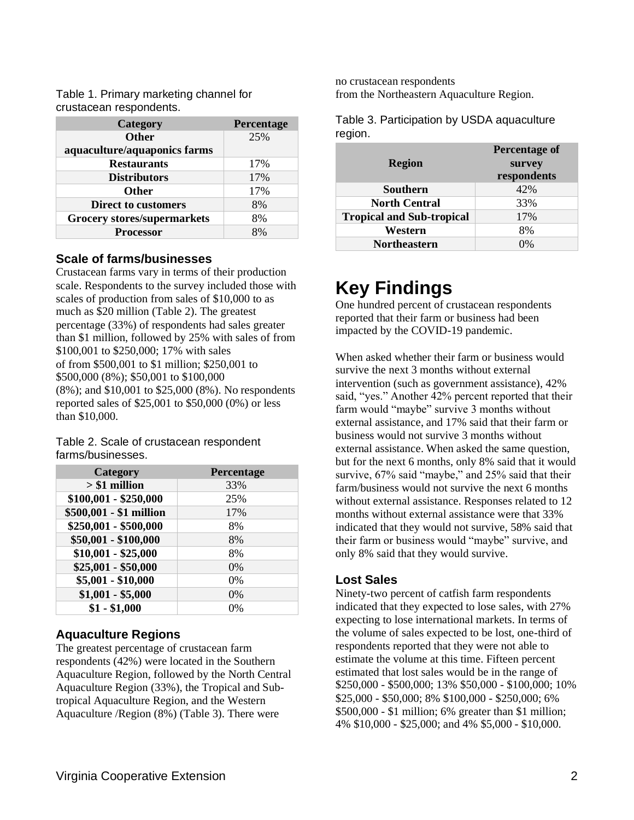Table 1. Primary marketing channel for crustacean respondents.

| Category                           | Percentage |
|------------------------------------|------------|
| <b>Other</b>                       | 25%        |
| aquaculture/aquaponics farms       |            |
| <b>Restaurants</b>                 | 17%        |
| <b>Distributors</b>                | 17%        |
| <b>Other</b>                       | 17%        |
| <b>Direct to customers</b>         | 8%         |
| <b>Grocery stores/supermarkets</b> | 8%         |
| <b>Processor</b>                   | 8%         |

#### **Scale of farms/businesses**

Crustacean farms vary in terms of their production scale. Respondents to the survey included those with scales of production from sales of \$10,000 to as much as \$20 million (Table 2). The greatest percentage (33%) of respondents had sales greater than \$1 million, followed by 25% with sales of from \$100,001 to \$250,000; 17% with sales of from \$500,001 to \$1 million; \$250,001 to \$500,000 (8%); \$50,001 to \$100,000 (8%); and \$10,001 to \$25,000 (8%). No respondents reported sales of \$25,001 to \$50,000 (0%) or less than \$10,000.

Table 2. Scale of crustacean respondent farms/businesses.

| Category                      | Percentage |
|-------------------------------|------------|
| $> $1$ million                | 33%        |
| $$100,001 - $250,000$         | 25%        |
| \$500,001 - \$1 million       | 17%        |
| \$250,001 - \$500,000         | 8%         |
| \$50,001 - \$100,000          | 8%         |
| $$10,001 - $25,000$           | 8%         |
| $$25,001 - $50,000$           | $0\%$      |
| $\overline{$5,001 - $10,000}$ | $0\%$      |
| $$1,001 - $5,000$             | $0\%$      |
| $$1 - $1,000$                 | 0%         |

#### **Aquaculture Regions**

The greatest percentage of crustacean farm respondents (42%) were located in the Southern Aquaculture Region, followed by the North Central Aquaculture Region (33%), the Tropical and Subtropical Aquaculture Region, and the Western Aquaculture /Region (8%) (Table 3). There were

no crustacean respondents from the Northeastern Aquaculture Region.

Table 3. Participation by USDA aquaculture region.

| <b>Region</b>                    | Percentage of<br>survey<br>respondents |
|----------------------------------|----------------------------------------|
| <b>Southern</b>                  | 42%                                    |
| <b>North Central</b>             | 33%                                    |
| <b>Tropical and Sub-tropical</b> | 17%                                    |
| Western                          | 8%                                     |
| <b>Northeastern</b>              | 0%                                     |

## **Key Findings**

One hundred percent of crustacean respondents reported that their farm or business had been impacted by the COVID-19 pandemic.

When asked whether their farm or business would survive the next 3 months without external intervention (such as government assistance), 42% said, "yes." Another 42% percent reported that their farm would "maybe" survive 3 months without external assistance, and 17% said that their farm or business would not survive 3 months without external assistance. When asked the same question, but for the next 6 months, only 8% said that it would survive, 67% said "maybe," and 25% said that their farm/business would not survive the next 6 months without external assistance. Responses related to 12 months without external assistance were that 33% indicated that they would not survive, 58% said that their farm or business would "maybe" survive, and only 8% said that they would survive.

#### **Lost Sales**

Ninety-two percent of catfish farm respondents indicated that they expected to lose sales, with 27% expecting to lose international markets. In terms of the volume of sales expected to be lost, one-third of respondents reported that they were not able to estimate the volume at this time. Fifteen percent estimated that lost sales would be in the range of \$250,000 - \$500,000; 13% \$50,000 - \$100,000; 10% \$25,000 - \$50,000; 8% \$100,000 - \$250,000; 6% \$500,000 - \$1 million; 6% greater than \$1 million; 4% \$10,000 - \$25,000; and 4% \$5,000 - \$10,000.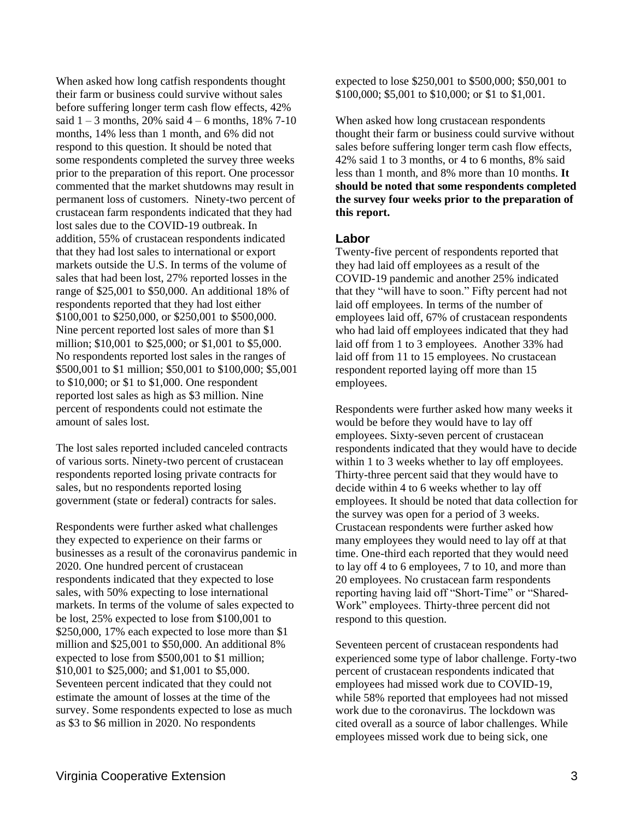When asked how long catfish respondents thought their farm or business could survive without sales before suffering longer term cash flow effects, 42% said  $1 - 3$  months, 20% said  $4 - 6$  months, 18% 7-10 months, 14% less than 1 month, and 6% did not respond to this question. It should be noted that some respondents completed the survey three weeks prior to the preparation of this report. One processor commented that the market shutdowns may result in permanent loss of customers. Ninety-two percent of crustacean farm respondents indicated that they had lost sales due to the COVID-19 outbreak. In addition, 55% of crustacean respondents indicated that they had lost sales to international or export markets outside the U.S. In terms of the volume of sales that had been lost, 27% reported losses in the range of \$25,001 to \$50,000. An additional 18% of respondents reported that they had lost either \$100,001 to \$250,000, or \$250,001 to \$500,000. Nine percent reported lost sales of more than \$1 million; \$10,001 to \$25,000; or \$1,001 to \$5,000. No respondents reported lost sales in the ranges of \$500,001 to \$1 million; \$50,001 to \$100,000; \$5,001 to \$10,000; or \$1 to \$1,000. One respondent reported lost sales as high as \$3 million. Nine percent of respondents could not estimate the amount of sales lost.

The lost sales reported included canceled contracts of various sorts. Ninety-two percent of crustacean respondents reported losing private contracts for sales, but no respondents reported losing government (state or federal) contracts for sales.

Respondents were further asked what challenges they expected to experience on their farms or businesses as a result of the coronavirus pandemic in 2020. One hundred percent of crustacean respondents indicated that they expected to lose sales, with 50% expecting to lose international markets. In terms of the volume of sales expected to be lost, 25% expected to lose from \$100,001 to \$250,000, 17% each expected to lose more than \$1 million and \$25,001 to \$50,000. An additional 8% expected to lose from \$500,001 to \$1 million; \$10,001 to \$25,000; and \$1,001 to \$5,000. Seventeen percent indicated that they could not estimate the amount of losses at the time of the survey. Some respondents expected to lose as much as \$3 to \$6 million in 2020. No respondents

expected to lose \$250,001 to \$500,000; \$50,001 to \$100,000; \$5,001 to \$10,000; or \$1 to \$1,001.

When asked how long crustacean respondents thought their farm or business could survive without sales before suffering longer term cash flow effects, 42% said 1 to 3 months, or 4 to 6 months, 8% said less than 1 month, and 8% more than 10 months. **It should be noted that some respondents completed the survey four weeks prior to the preparation of this report.**

#### **Labor**

Twenty-five percent of respondents reported that they had laid off employees as a result of the COVID-19 pandemic and another 25% indicated that they "will have to soon." Fifty percent had not laid off employees. In terms of the number of employees laid off, 67% of crustacean respondents who had laid off employees indicated that they had laid off from 1 to 3 employees. Another 33% had laid off from 11 to 15 employees. No crustacean respondent reported laying off more than 15 employees.

Respondents were further asked how many weeks it would be before they would have to lay off employees. Sixty-seven percent of crustacean respondents indicated that they would have to decide within 1 to 3 weeks whether to lay off employees. Thirty-three percent said that they would have to decide within 4 to 6 weeks whether to lay off employees. It should be noted that data collection for the survey was open for a period of 3 weeks. Crustacean respondents were further asked how many employees they would need to lay off at that time. One-third each reported that they would need to lay off 4 to 6 employees, 7 to 10, and more than 20 employees. No crustacean farm respondents reporting having laid off "Short-Time" or "Shared-Work" employees. Thirty-three percent did not respond to this question.

Seventeen percent of crustacean respondents had experienced some type of labor challenge. Forty-two percent of crustacean respondents indicated that employees had missed work due to COVID-19, while 58% reported that employees had not missed work due to the coronavirus. The lockdown was cited overall as a source of labor challenges. While employees missed work due to being sick, one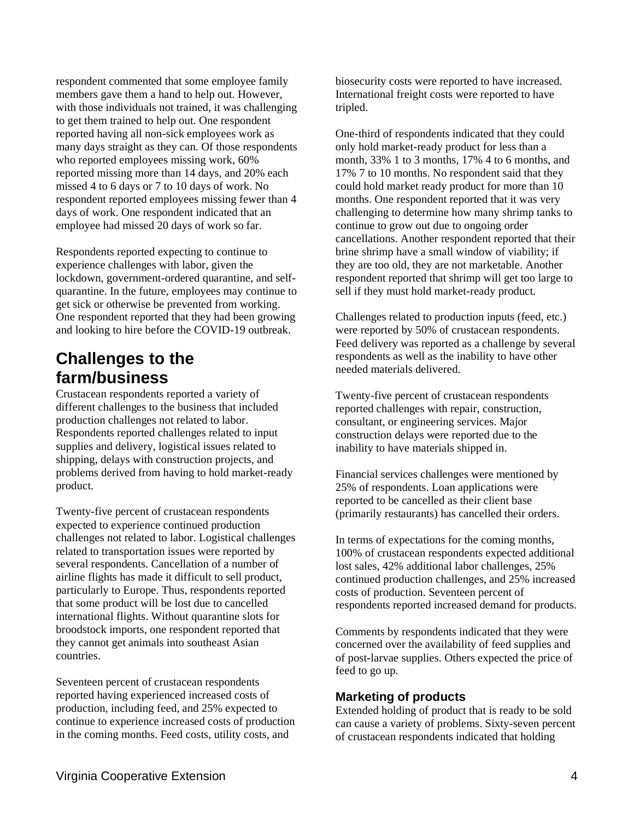respondent commented that some employee family members gave them a hand to help out. However, with those individuals not trained, it was challenging to get them trained to help out. One respondent reported having all non-sick employees work as many days straight as they can. Of those respondents who reported employees missing work, 60% reported missing more than 14 days, and 20% each missed 4 to 6 days or 7 to 10 days of work. No respondent reported employees missing fewer than 4 days of work. One respondent indicated that an employee had missed 20 days of work so far.

Respondents reported expecting to continue to experience challenges with labor, given the lockdown, government-ordered quarantine, and selfquarantine. In the future, employees may continue to get sick or otherwise be prevented from working. One respondent reported that they had been growing and looking to hire before the COVID-19 outbreak.

### **Challenges to the farm/business**

Crustacean respondents reported a variety of different challenges to the business that included production challenges not related to labor. Respondents reported challenges related to input supplies and delivery, logistical issues related to shipping, delays with construction projects, and problems derived from having to hold market-ready product.

Twenty-five percent of crustacean respondents expected to experience continued production challenges not related to labor. Logistical challenges related to transportation issues were reported by several respondents. Cancellation of a number of airline flights has made it difficult to sell product, particularly to Europe. Thus, respondents reported that some product will be lost due to cancelled international flights. Without quarantine slots for broodstock imports, one respondent reported that they cannot get animals into southeast Asian countries.

Seventeen percent of crustacean respondents reported having experienced increased costs of production, including feed, and 25% expected to continue to experience increased costs of production in the coming months. Feed costs, utility costs, and

biosecurity costs were reported to have increased. International freight costs were reported to have tripled.

One-third of respondents indicated that they could only hold market-ready product for less than a month, 33% 1 to 3 months, 17% 4 to 6 months, and 17% 7 to 10 months. No respondent said that they could hold market ready product for more than 10 months. One respondent reported that it was very challenging to determine how many shrimp tanks to continue to grow out due to ongoing order cancellations. Another respondent reported that their brine shrimp have a small window of viability; if they are too old, they are not marketable. Another respondent reported that shrimp will get too large to sell if they must hold market-ready product.

Challenges related to production inputs (feed, etc.) were reported by 50% of crustacean respondents. Feed delivery was reported as a challenge by several respondents as well as the inability to have other needed materials delivered.

Twenty-five percent of crustacean respondents reported challenges with repair, construction, consultant, or engineering services. Major construction delays were reported due to the inability to have materials shipped in.

Financial services challenges were mentioned by 25% of respondents. Loan applications were reported to be cancelled as their client base (primarily restaurants) has cancelled their orders.

In terms of expectations for the coming months, 100% of crustacean respondents expected additional lost sales, 42% additional labor challenges, 25% continued production challenges, and 25% increased costs of production. Seventeen percent of respondents reported increased demand for products.

Comments by respondents indicated that they were concerned over the availability of feed supplies and of post-larvae supplies. Others expected the price of feed to go up.

#### **Marketing of products**

Extended holding of product that is ready to be sold can cause a variety of problems. Sixty-seven percent of crustacean respondents indicated that holding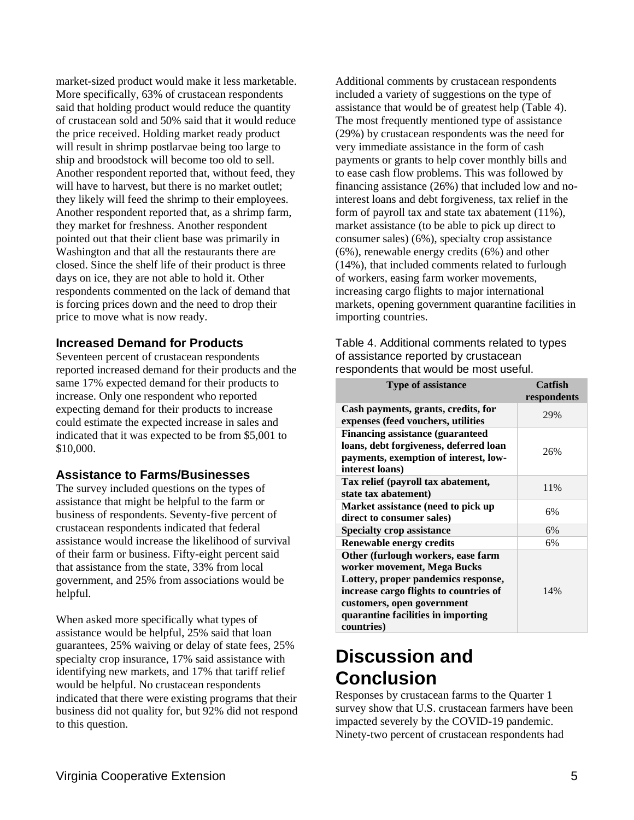market-sized product would make it less marketable. More specifically, 63% of crustacean respondents said that holding product would reduce the quantity of crustacean sold and 50% said that it would reduce the price received. Holding market ready product will result in shrimp postlarvae being too large to ship and broodstock will become too old to sell. Another respondent reported that, without feed, they will have to harvest, but there is no market outlet; they likely will feed the shrimp to their employees. Another respondent reported that, as a shrimp farm, they market for freshness. Another respondent pointed out that their client base was primarily in Washington and that all the restaurants there are closed. Since the shelf life of their product is three days on ice, they are not able to hold it. Other respondents commented on the lack of demand that is forcing prices down and the need to drop their price to move what is now ready.

#### **Increased Demand for Products**

Seventeen percent of crustacean respondents reported increased demand for their products and the same 17% expected demand for their products to increase. Only one respondent who reported expecting demand for their products to increase could estimate the expected increase in sales and indicated that it was expected to be from \$5,001 to \$10,000.

#### **Assistance to Farms/Businesses**

The survey included questions on the types of assistance that might be helpful to the farm or business of respondents. Seventy-five percent of crustacean respondents indicated that federal assistance would increase the likelihood of survival of their farm or business. Fifty-eight percent said that assistance from the state, 33% from local government, and 25% from associations would be helpful.

When asked more specifically what types of assistance would be helpful, 25% said that loan guarantees, 25% waiving or delay of state fees, 25% specialty crop insurance, 17% said assistance with identifying new markets, and 17% that tariff relief would be helpful. No crustacean respondents indicated that there were existing programs that their business did not quality for, but 92% did not respond to this question.

Additional comments by crustacean respondents included a variety of suggestions on the type of assistance that would be of greatest help (Table 4). The most frequently mentioned type of assistance (29%) by crustacean respondents was the need for very immediate assistance in the form of cash payments or grants to help cover monthly bills and to ease cash flow problems. This was followed by financing assistance (26%) that included low and nointerest loans and debt forgiveness, tax relief in the form of payroll tax and state tax abatement (11%), market assistance (to be able to pick up direct to consumer sales) (6%), specialty crop assistance (6%), renewable energy credits (6%) and other (14%), that included comments related to furlough of workers, easing farm worker movements, increasing cargo flights to major international markets, opening government quarantine facilities in importing countries.

Table 4. Additional comments related to types of assistance reported by crustacean respondents that would be most useful.

| <b>Type of assistance</b>                                                                                                                                                                                                            | Catfish<br>respondents |
|--------------------------------------------------------------------------------------------------------------------------------------------------------------------------------------------------------------------------------------|------------------------|
| Cash payments, grants, credits, for<br>expenses (feed vouchers, utilities                                                                                                                                                            | 29%                    |
| <b>Financing assistance (guaranteed)</b><br>loans, debt forgiveness, deferred loan<br>payments, exemption of interest, low-<br>interest loans)                                                                                       | 26%                    |
| Tax relief (payroll tax abatement,<br>state tax abatement)                                                                                                                                                                           | 11%                    |
| Market assistance (need to pick up<br>direct to consumer sales)                                                                                                                                                                      | 6%                     |
| <b>Specialty crop assistance</b>                                                                                                                                                                                                     | 6%                     |
| <b>Renewable energy credits</b>                                                                                                                                                                                                      | 6%                     |
| Other (furlough workers, ease farm<br>worker movement, Mega Bucks<br>Lottery, proper pandemics response,<br>increase cargo flights to countries of<br>customers, open government<br>quarantine facilities in importing<br>countries) | 14%                    |

## **Discussion and Conclusion**

Responses by crustacean farms to the Quarter 1 survey show that U.S. crustacean farmers have been impacted severely by the COVID-19 pandemic. Ninety-two percent of crustacean respondents had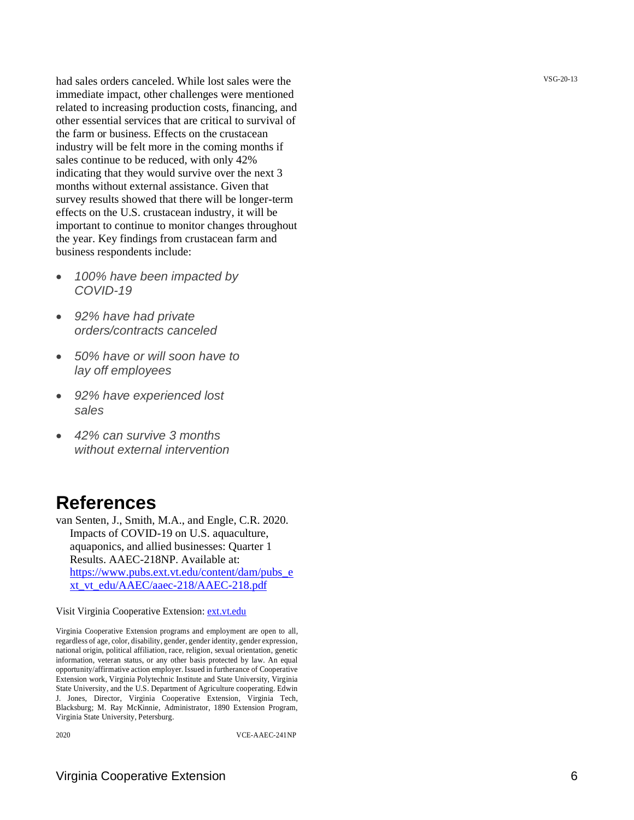had sales orders canceled. While lost sales were the immediate impact, other challenges were mentioned related to increasing production costs, financing, and other essential services that are critical to survival of the farm or business. Effects on the crustacean industry will be felt more in the coming months if sales continue to be reduced, with only 42% indicating that they would survive over the next 3 months without external assistance. Given that survey results showed that there will be longer -term effects on the U.S. crustacean industry, it will be important to continue to monitor changes throughout the year. Key findings from crustacean farm and business respondents include:

- *100% have been impacted by COVID -19*
- *92% have had private orders/contracts canceled*
- *50% have or will soon have to lay off employees*
- *92% have experienced lost sales*
- *42% can survive 3 months without external intervention*

### **References**

van Senten, J., Smith, M.A., and Engle, C.R. 2020. Impacts of COVID -19 on U.S. aquaculture, aquaponics, and allied businesses: Quarter 1 Results. AAEC -218NP. Available at: [https://www.pubs.ext.vt.edu/content/dam/pubs\\_e](https://www.pubs.ext.vt.edu/content/dam/pubs_ext_vt_edu/AAEC/aaec-218/AAEC-218.pdf) [xt\\_vt\\_edu/AAEC/aaec](https://www.pubs.ext.vt.edu/content/dam/pubs_ext_vt_edu/AAEC/aaec-218/AAEC-218.pdf) -218/AAEC -218.pdf

Visit Virginia Cooperative Extension: [ext.vt.edu](http://ext.vt.edu/)

Virginia Cooperative Extension programs and employment are open to all, regardless of age, color, disability, gender, gender identity, gender expression, national origin, political affiliation, race, religion, sexual orientation, genetic information, veteran status, or any other basis protected by law. An equal opportunity/affirmative action employer. Issued in furtherance of Cooperative Extension work, Virginia Polytechnic Institute and State University, Virginia State University, and the U.S. Department of Agriculture cooperating. Edwin J. Jones, Director, Virginia Cooperative Extension, Virginia Tech, Blacksburg; M. Ray McKinnie, Administrator, 1890 Extension Program, Virginia State University, Petersburg.

2020 VCE

-AAEC -241NP

VSG-20-13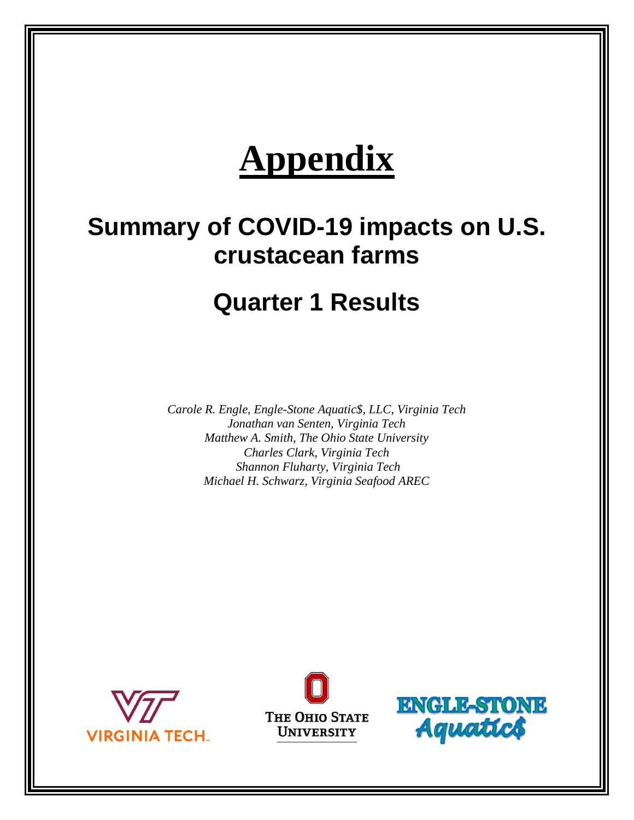# **Appendix**

## **Summary of COVID-19 impacts on U.S. crustacean farms**

## **Quarter 1 Results**

*Carole R. Engle, Engle-Stone Aquatic\$, LLC, Virginia Tech Jonathan van Senten, Virginia Tech Matthew A. Smith, The Ohio State University Charles Clark, Virginia Tech Shannon Fluharty, Virginia Tech Michael H. Schwarz, Virginia Seafood AREC*





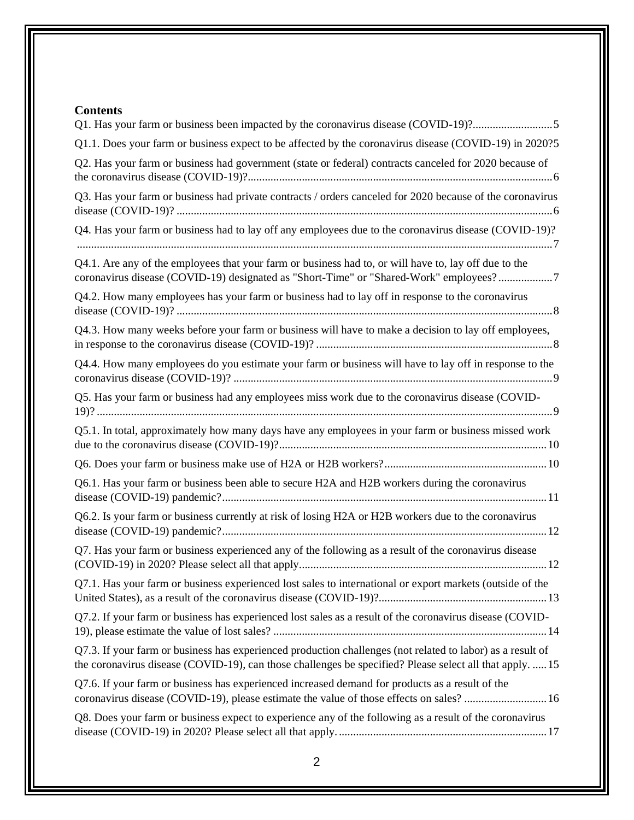#### **Contents**

| Q1. Has your farm or business been impacted by the coronavirus disease (COVID-19)?5                                                                                                                                    |
|------------------------------------------------------------------------------------------------------------------------------------------------------------------------------------------------------------------------|
| Q1.1. Does your farm or business expect to be affected by the coronavirus disease (COVID-19) in 2020?5                                                                                                                 |
| Q2. Has your farm or business had government (state or federal) contracts canceled for 2020 because of                                                                                                                 |
| Q3. Has your farm or business had private contracts / orders canceled for 2020 because of the coronavirus                                                                                                              |
| Q4. Has your farm or business had to lay off any employees due to the coronavirus disease (COVID-19)?                                                                                                                  |
| Q4.1. Are any of the employees that your farm or business had to, or will have to, lay off due to the<br>coronavirus disease (COVID-19) designated as "Short-Time" or "Shared-Work" employees?7                        |
| Q4.2. How many employees has your farm or business had to lay off in response to the coronavirus                                                                                                                       |
| Q4.3. How many weeks before your farm or business will have to make a decision to lay off employees,                                                                                                                   |
| Q4.4. How many employees do you estimate your farm or business will have to lay off in response to the                                                                                                                 |
| Q5. Has your farm or business had any employees miss work due to the coronavirus disease (COVID-                                                                                                                       |
| Q5.1. In total, approximately how many days have any employees in your farm or business missed work                                                                                                                    |
|                                                                                                                                                                                                                        |
| Q6.1. Has your farm or business been able to secure H2A and H2B workers during the coronavirus                                                                                                                         |
| Q6.2. Is your farm or business currently at risk of losing H2A or H2B workers due to the coronavirus                                                                                                                   |
| Q7. Has your farm or business experienced any of the following as a result of the coronavirus disease                                                                                                                  |
| Q7.1. Has your farm or business experienced lost sales to international or export markets (outside of the                                                                                                              |
| Q7.2. If your farm or business has experienced lost sales as a result of the coronavirus disease (COVID-                                                                                                               |
| Q7.3. If your farm or business has experienced production challenges (not related to labor) as a result of<br>the coronavirus disease (COVID-19), can those challenges be specified? Please select all that apply.  15 |
| Q7.6. If your farm or business has experienced increased demand for products as a result of the<br>coronavirus disease (COVID-19), please estimate the value of those effects on sales?  16                            |
| Q8. Does your farm or business expect to experience any of the following as a result of the coronavirus                                                                                                                |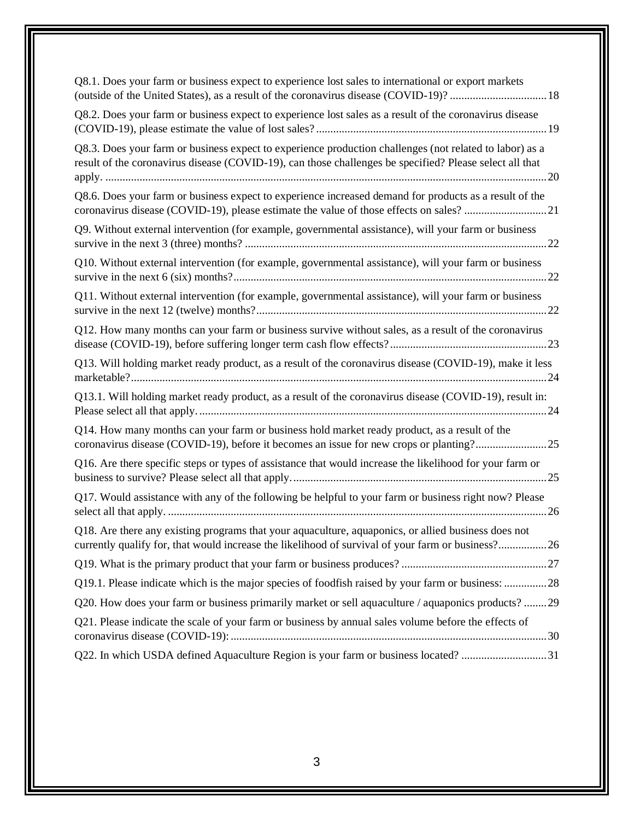| Q8.1. Does your farm or business expect to experience lost sales to international or export markets<br>(outside of the United States), as a result of the coronavirus disease (COVID-19)?  18                      |
|--------------------------------------------------------------------------------------------------------------------------------------------------------------------------------------------------------------------|
| Q8.2. Does your farm or business expect to experience lost sales as a result of the coronavirus disease                                                                                                            |
| Q8.3. Does your farm or business expect to experience production challenges (not related to labor) as a<br>result of the coronavirus disease (COVID-19), can those challenges be specified? Please select all that |
| Q8.6. Does your farm or business expect to experience increased demand for products as a result of the<br>coronavirus disease (COVID-19), please estimate the value of those effects on sales? 21                  |
| Q9. Without external intervention (for example, governmental assistance), will your farm or business                                                                                                               |
| Q10. Without external intervention (for example, governmental assistance), will your farm or business                                                                                                              |
| Q11. Without external intervention (for example, governmental assistance), will your farm or business                                                                                                              |
| Q12. How many months can your farm or business survive without sales, as a result of the coronavirus                                                                                                               |
| Q13. Will holding market ready product, as a result of the coronavirus disease (COVID-19), make it less                                                                                                            |
| Q13.1. Will holding market ready product, as a result of the coronavirus disease (COVID-19), result in:                                                                                                            |
| Q14. How many months can your farm or business hold market ready product, as a result of the<br>coronavirus disease (COVID-19), before it becomes an issue for new crops or planting?25                            |
| Q16. Are there specific steps or types of assistance that would increase the likelihood for your farm or                                                                                                           |
| Q17. Would assistance with any of the following be helpful to your farm or business right now? Please                                                                                                              |
| Q18. Are there any existing programs that your aquaculture, aquaponics, or allied business does not<br>currently qualify for, that would increase the likelihood of survival of your farm or business?26           |
|                                                                                                                                                                                                                    |
| Q19.1. Please indicate which is the major species of foodfish raised by your farm or business: 28                                                                                                                  |
| Q20. How does your farm or business primarily market or sell aquaculture / aquaponics products? 29                                                                                                                 |
| Q21. Please indicate the scale of your farm or business by annual sales volume before the effects of                                                                                                               |
| Q22. In which USDA defined Aquaculture Region is your farm or business located? 31                                                                                                                                 |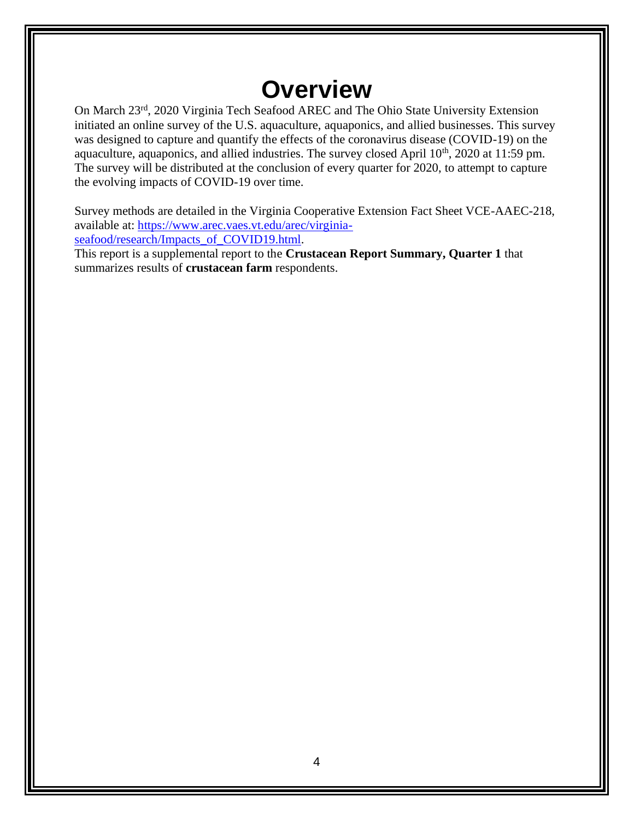## **Overview**

On March 23rd, 2020 Virginia Tech Seafood AREC and The Ohio State University Extension initiated an online survey of the U.S. aquaculture, aquaponics, and allied businesses. This survey was designed to capture and quantify the effects of the coronavirus disease (COVID-19) on the aquaculture, aquaponics, and allied industries. The survey closed April  $10<sup>th</sup>$ , 2020 at 11:59 pm. The survey will be distributed at the conclusion of every quarter for 2020, to attempt to capture the evolving impacts of COVID-19 over time.

Survey methods are detailed in the Virginia Cooperative Extension Fact Sheet VCE-AAEC-218, available at: [https://www.arec.vaes.vt.edu/arec/virginia-](https://www.arec.vaes.vt.edu/arec/virginia-seafood/research/Impacts_of_COVID19.html)

[seafood/research/Impacts\\_of\\_COVID19.html.](https://www.arec.vaes.vt.edu/arec/virginia-seafood/research/Impacts_of_COVID19.html)

This report is a supplemental report to the **Crustacean Report Summary, Quarter 1** that summarizes results of **crustacean farm** respondents.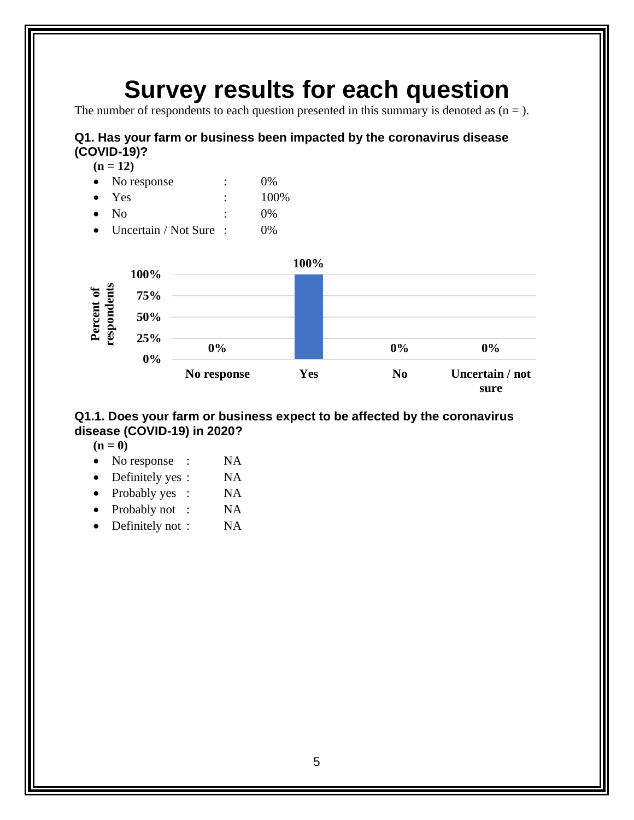## **Survey results for each question**

The number of respondents to each question presented in this summary is denoted as  $(n =)$ .

#### <span id="page-10-0"></span>**Q1. Has your farm or business been impacted by the coronavirus disease (COVID-19)?**

 $(n = 12)$ 

- No response : 0%
- Yes : 100%
- No : 0%
- Uncertain / Not Sure : 0%



#### <span id="page-10-1"></span>**Q1.1. Does your farm or business expect to be affected by the coronavirus disease (COVID-19) in 2020?**

**(n = 0)**

- No response : NA
- Definitely yes : NA
- Probably yes : NA
- Probably not : NA
- Definitely not : NA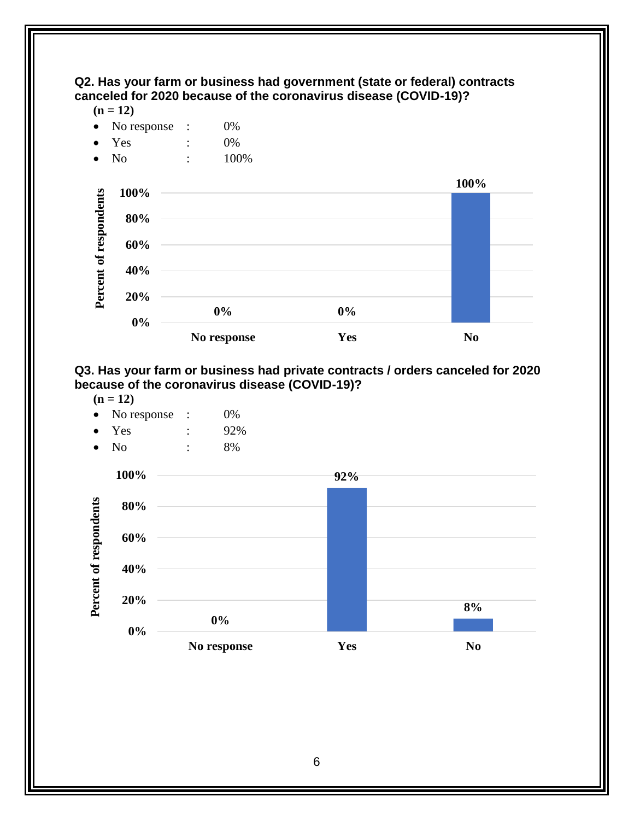<span id="page-11-0"></span>

 $(n = 12)$ 



#### <span id="page-11-1"></span>**Q3. Has your farm or business had private contracts / orders canceled for 2020 because of the coronavirus disease (COVID-19)?**

 $(n = 12)$ 

- No response : 0%
- Yes : 92%
- No : 8%

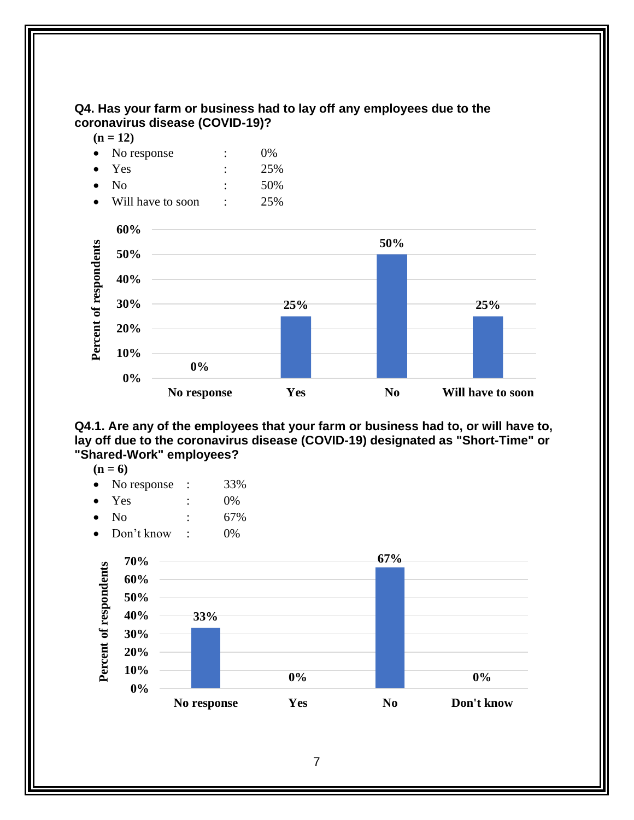<span id="page-12-0"></span>

<span id="page-12-1"></span>**Q4.1. Are any of the employees that your farm or business had to, or will have to, lay off due to the coronavirus disease (COVID-19) designated as "Short-Time" or "Shared-Work" employees?** 

**No response Yes No Will have to soon**

- $(n = 6)$
- No response : 33%
- $Yes$  :  $0\%$
- $\text{No}$  : 67%
- Don't know : 0%

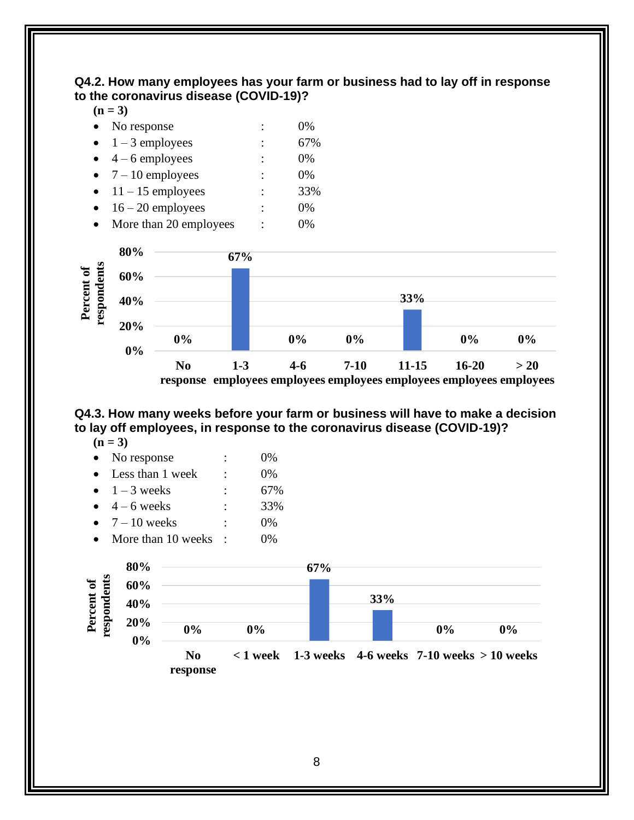#### <span id="page-13-0"></span>**Q4.2. How many employees has your farm or business had to lay off in response to the coronavirus disease (COVID-19)?**

|  | I |
|--|---|

| No response       | $0\%$ |
|-------------------|-------|
| $1 - 3$ employees | 67%   |

- $4 6$  employees : 0%
- $7 10$  employees : 0%
- $11 15$  employees : 33%
- $\bullet$  16 20 employees : 0%
- More than 20 employees : 0%



#### <span id="page-13-1"></span>**Q4.3. How many weeks before your farm or business will have to make a decision to lay off employees, in response to the coronavirus disease (COVID-19)?**

 $(n = 3)$ 

| $\bullet$ | No response                 |                      | $0\%$ |
|-----------|-----------------------------|----------------------|-------|
|           | Less than 1 week            | $\ddot{\phantom{a}}$ | $0\%$ |
|           | $\bullet$ 1 – 3 weeks       | $\ddot{\cdot}$       | 67%   |
|           | $4-6$ weeks                 | $\ddot{\cdot}$       | 33%   |
| $\bullet$ | $7-10$ weeks                | $\ddot{\cdot}$       | $0\%$ |
|           | $M_{\odot}$ than $10$ wooks |                      | ∩∩⁄   |

More than 10 weeks :  $0\%$ 

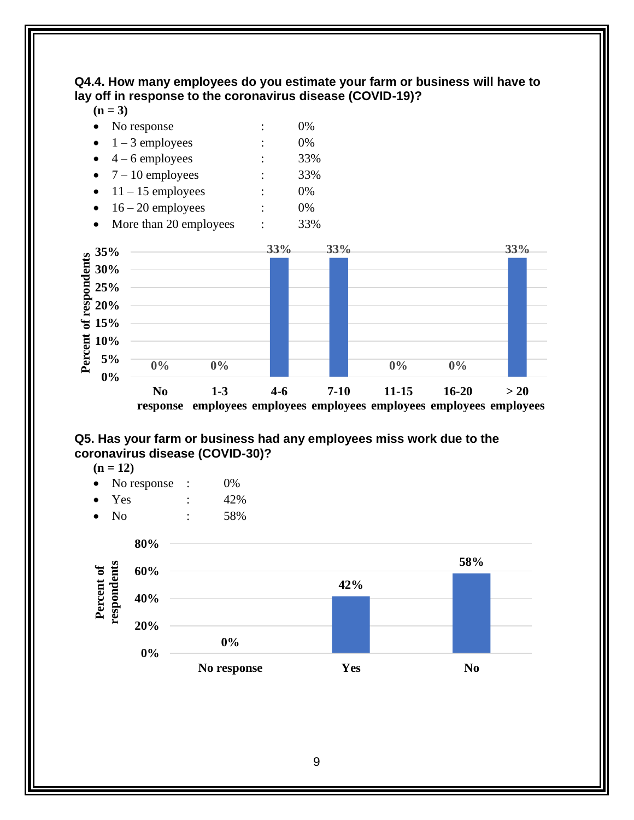#### <span id="page-14-0"></span>**Q4.4. How many employees do you estimate your farm or business will have to lay off in response to the coronavirus disease (COVID-19)?**

- No response  $\qquad \qquad : \qquad 0\%$  $1 - 3$  employees : 0%
- $\bullet$  4 6 employees : 33%
- $7 10$  employees : 33%
- $11 15$  employees : 0%
- $\bullet$  16 20 employees : 0%
- More than 20 employees : 33%



#### <span id="page-14-1"></span>**Q5. Has your farm or business had any employees miss work due to the coronavirus disease (COVID-30)?**

 $(n = 12)$ 

- No response : 0%
- Yes : 42%
- No : 58%

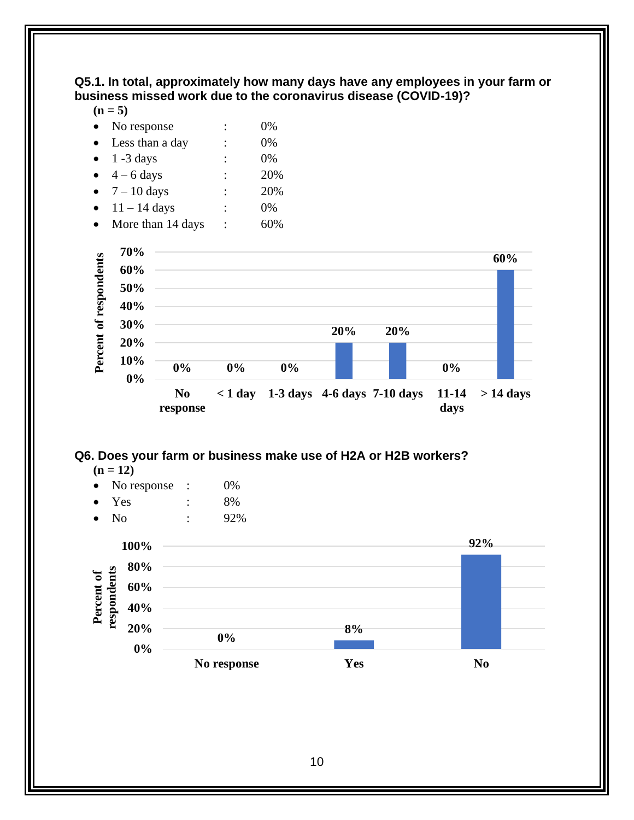#### <span id="page-15-0"></span>**Q5.1. In total, approximately how many days have any employees in your farm or business missed work due to the coronavirus disease (COVID-19)?**

 $(n = 5)$ 

| No response           |   | 0%  |
|-----------------------|---|-----|
| Less than a day       |   | 0%  |
| $1 - 3$ days          |   | 0%  |
| $4 - 6$ days          |   | 20% |
| $\bullet$ 7 – 10 days | ٠ | 20% |
| $11 - 14$ days        |   | 0%  |
| More than 14 days     |   |     |



#### <span id="page-15-1"></span>**Q6. Does your farm or business make use of H2A or H2B workers?**

 $(n = 12)$ 

| No response |  | 0% |
|-------------|--|----|
|-------------|--|----|

- Yes : 8%
- No : 92%

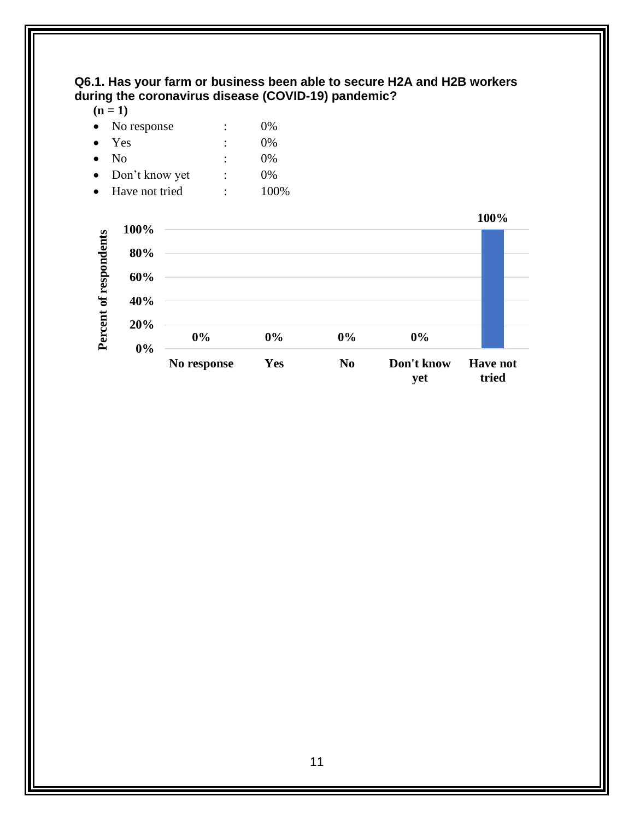#### <span id="page-16-0"></span>**Q6.1. Has your farm or business been able to secure H2A and H2B workers during the coronavirus disease (COVID-19) pandemic?**

 $(n = 1)$ 

|           | $\bullet$ No response | :              | $0\%$ |
|-----------|-----------------------|----------------|-------|
| $\bullet$ | Yes                   | $\ddot{\cdot}$ | $0\%$ |
| $\bullet$ | N <sub>0</sub>        | $\ddot{\cdot}$ | $0\%$ |
| $\bullet$ | Don't know yet        | ٠              | $0\%$ |
| $\bullet$ | Have not tried        | $\ddot{\cdot}$ | 100\% |

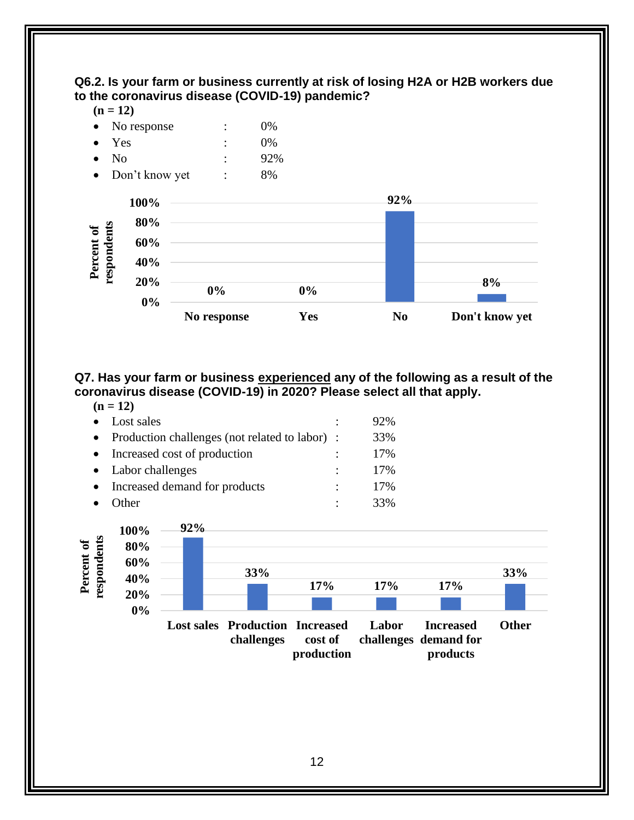<span id="page-17-0"></span>

<span id="page-17-1"></span>**Q7. Has your farm or business experienced any of the following as a result of the coronavirus disease (COVID-19) in 2020? Please select all that apply.**  $(n - 12)$ 

**No response Yes No Don't know yet**

| $(II - II)$                                    |   |     |
|------------------------------------------------|---|-----|
| Lost sales                                     | ٠ | 92% |
| Production challenges (not related to labor) : |   | 33% |
| Increased cost of production                   |   | 17% |
| • Labor challenges                             |   | 17% |
| Increased demand for products                  |   | 17% |
| )ther                                          |   | 33% |



12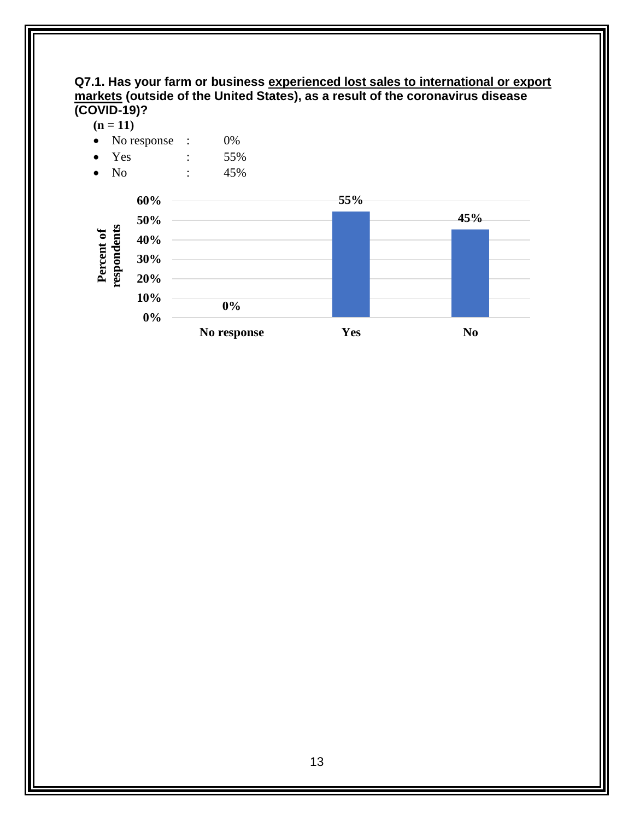#### <span id="page-18-0"></span>**Q7.1. Has your farm or business experienced lost sales to international or export markets (outside of the United States), as a result of the coronavirus disease (COVID-19)?**

 $(n = 11)$ 





**45%**

13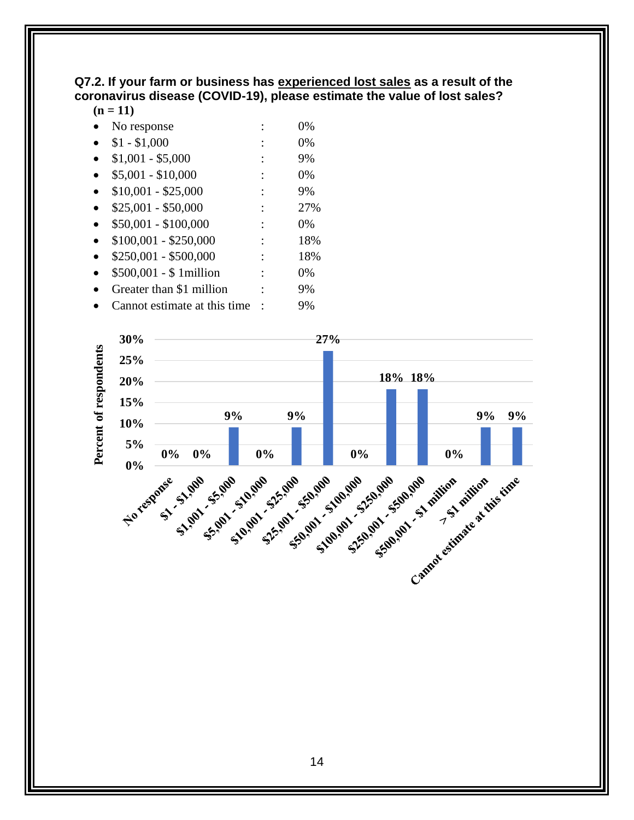#### <span id="page-19-0"></span>**Q7.2. If your farm or business has experienced lost sales as a result of the coronavirus disease (COVID-19), please estimate the value of lost sales?**

#### $(n = 11)$

- No response : 0%
- $$1 $1,000$  : 0%
- $$1,001 $5,000$  : 9%
- $$5,001 $10,000$  : 0% •  $$10,001 - $25,000$  : 9%
- $$25,001 $50,000$  : 27%
- $$50,001 $100,000$  : 0%
- $$100,001 $250,000$  : 18%
- $$250,001 $500,000$  : 18%
- \$500,001 \$ 1million : 0%
- Greater than \$1 million : 9%
- Cannot estimate at this time : 9%

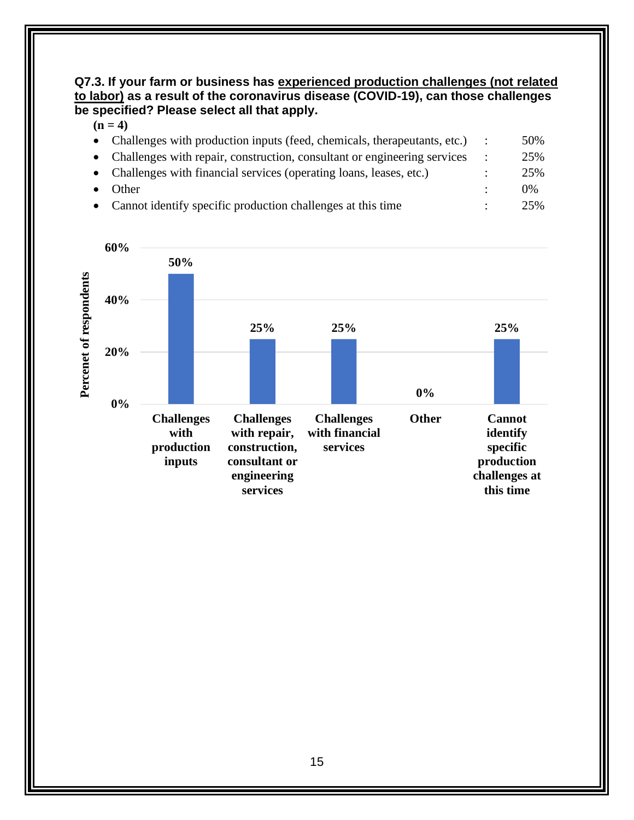#### <span id="page-20-0"></span>**Q7.3. If your farm or business has experienced production challenges (not related to labor) as a result of the coronavirus disease (COVID-19), can those challenges be specified? Please select all that apply.**

|                                                                            |                                                                            | 50%   |
|----------------------------------------------------------------------------|----------------------------------------------------------------------------|-------|
| • Challenges with repair, construction, consultant or engineering services |                                                                            | 25%   |
| • Challenges with financial services (operating loans, leases, etc.)       |                                                                            | 25%   |
| Other                                                                      |                                                                            | $0\%$ |
| • Cannot identify specific production challenges at this time              |                                                                            | 25%   |
|                                                                            | • Challenges with production inputs (feed, chemicals, therapeutants, etc.) |       |

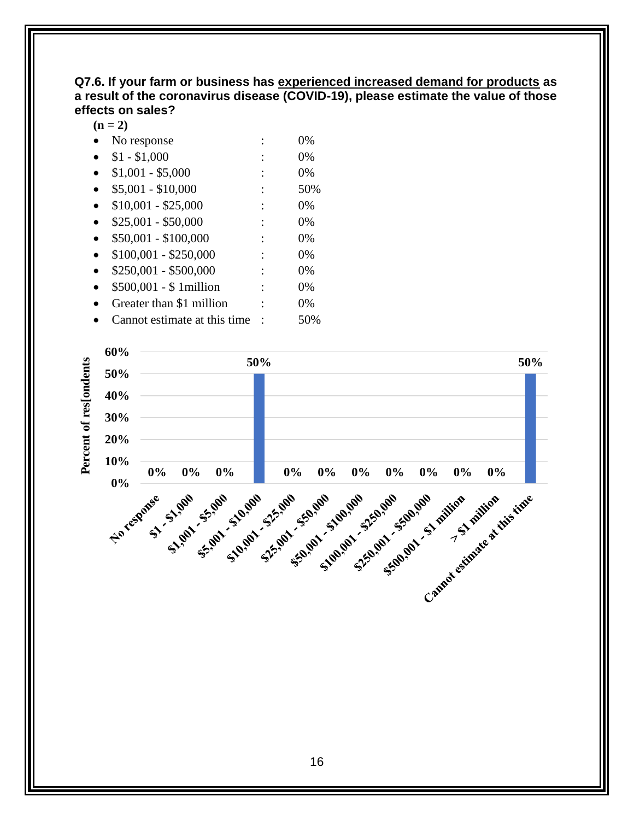#### <span id="page-21-0"></span>**Q7.6. If your farm or business has experienced increased demand for products as a result of the coronavirus disease (COVID-19), please estimate the value of those effects on sales?**

 $(n = 2)$ 

- No response : 0%
- $$1 $1,000$  : 0%
- $$1,001 $5,000$  : 0%
- $$5,001 $10,000$  : 50%
- $$10,001 $25,000$  : 0%
- $$25,001 $50,000$  : 0%
- $$50,001 $100,000$  : 0%
- $$100,001 $250,000$  : 0%
- $$250,001 $500,000$  : 0%
- \$500,001 \$ 1million : 0%
- Greater than \$1 million : 0%
- Cannot estimate at this time : 50%

<span id="page-21-1"></span>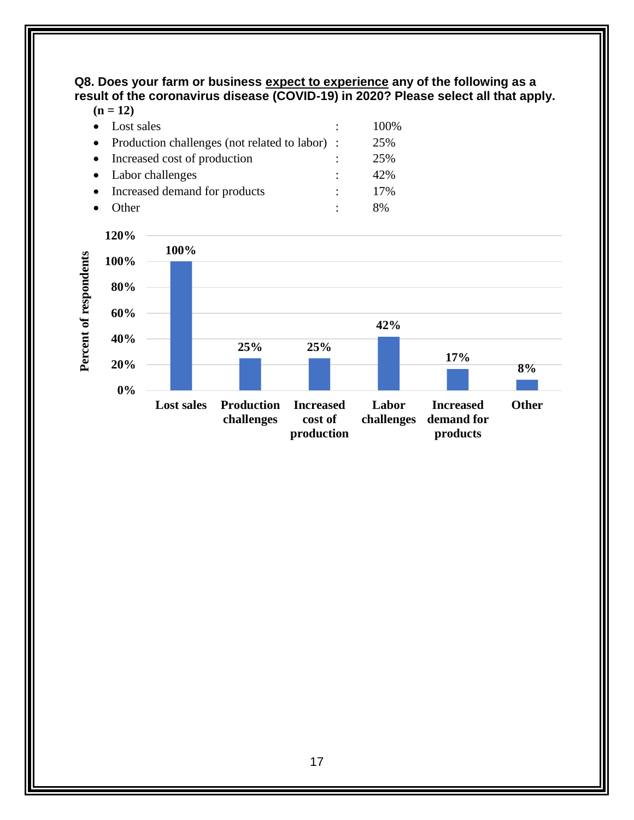**Q8. Does your farm or business expect to experience any of the following as a result of the coronavirus disease (COVID-19) in 2020? Please select all that apply. (n = 12)**

| $(11 - 14)$                                      |   |       |
|--------------------------------------------------|---|-------|
| Lost sales                                       | ٠ | 100\% |
| • Production challenges (not related to labor) : |   | 25%   |
| • Increased cost of production                   |   | 25%   |
| • Labor challenges                               |   | 42%   |
| Increased demand for products                    |   | 17%   |
| )ther                                            |   | 8%    |

<span id="page-22-0"></span>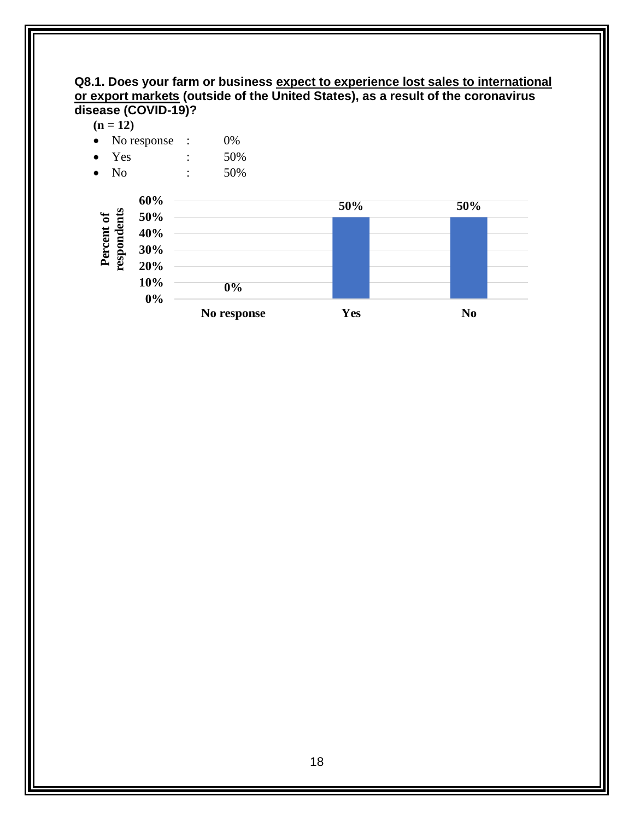#### **Q8.1. Does your farm or business expect to experience lost sales to international or export markets (outside of the United States), as a result of the coronavirus disease (COVID-19)?**

**No response Yes No**

**50% 50%**



**0% 10% 20%**

| $\bullet$                 | No response $\therefore$ | 0%  |     |
|---------------------------|--------------------------|-----|-----|
| Yes<br>$\bullet$          |                          | 50% |     |
| No<br>$\bullet$           |                          | 50% |     |
|                           | 60%                      |     | 50% |
| Percent of<br>respondents | 50%                      |     |     |
|                           | 40%                      |     |     |
|                           | 30%                      |     |     |
|                           | 20%                      |     |     |

**0%**

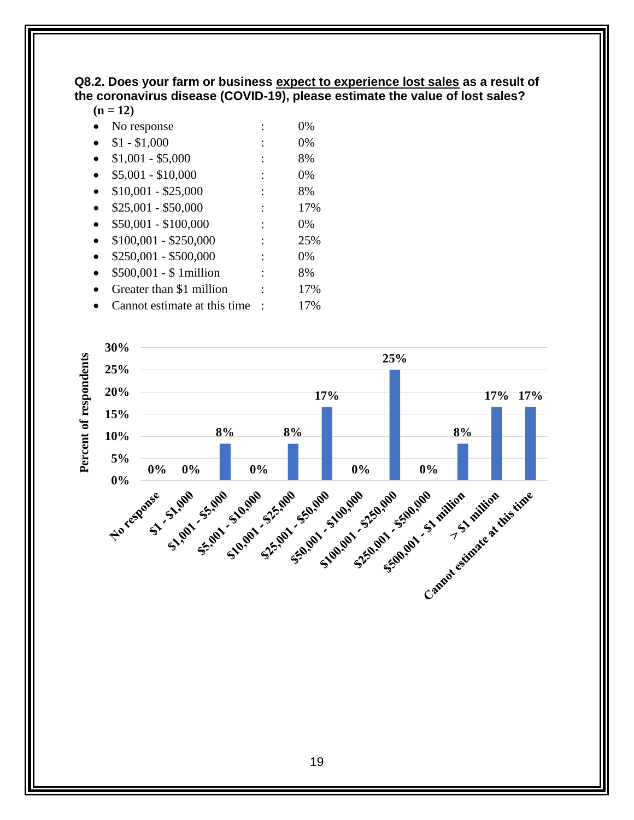#### <span id="page-24-0"></span>**Q8.2. Does your farm or business expect to experience lost sales as a result of the coronavirus disease (COVID-19), please estimate the value of lost sales?**

#### $(n - 12)$

| $(II = IZ)$                  |       |
|------------------------------|-------|
| No response                  | 0%    |
| $$1 - $1,000$                | 0%    |
| $$1,001 - $5,000$            | 8%    |
| $$5,001 - $10,000$           | 0%    |
| $$10,001 - $25,000$          | 8%    |
| $$25,001 - $50,000$          | 17%   |
| $$50,001 - $100,000$         | $0\%$ |
| $$100,001 - $250,000$        | 25%   |
| \$250,001 - \$500,000        | 0%    |
| $$500,001 - $1$ million      | 8%    |
| Greater than \$1 million     | 17%   |
| Cannot estimate at this time | 17%   |
|                              |       |

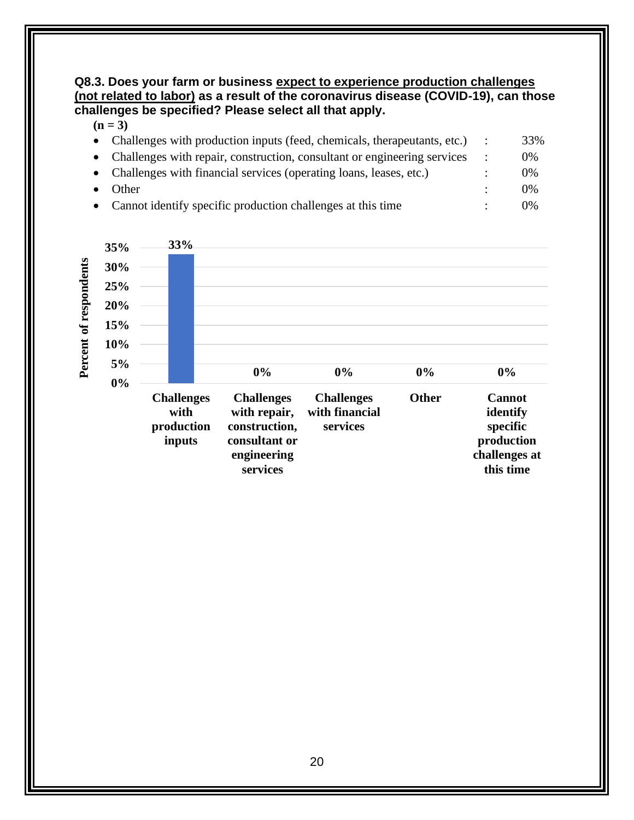#### <span id="page-25-0"></span>**Q8.3. Does your farm or business expect to experience production challenges (not related to labor) as a result of the coronavirus disease (COVID-19), can those challenges be specified? Please select all that apply.**

| • Challenges with production inputs (feed, chemicals, therapeutants, etc.) | 33%   |
|----------------------------------------------------------------------------|-------|
| • Challenges with repair, construction, consultant or engineering services | 0%    |
| • Challenges with financial services (operating loans, leases, etc.)       | $0\%$ |
| Other                                                                      | $0\%$ |
| • Cannot identify specific production challenges at this time              | 0%    |

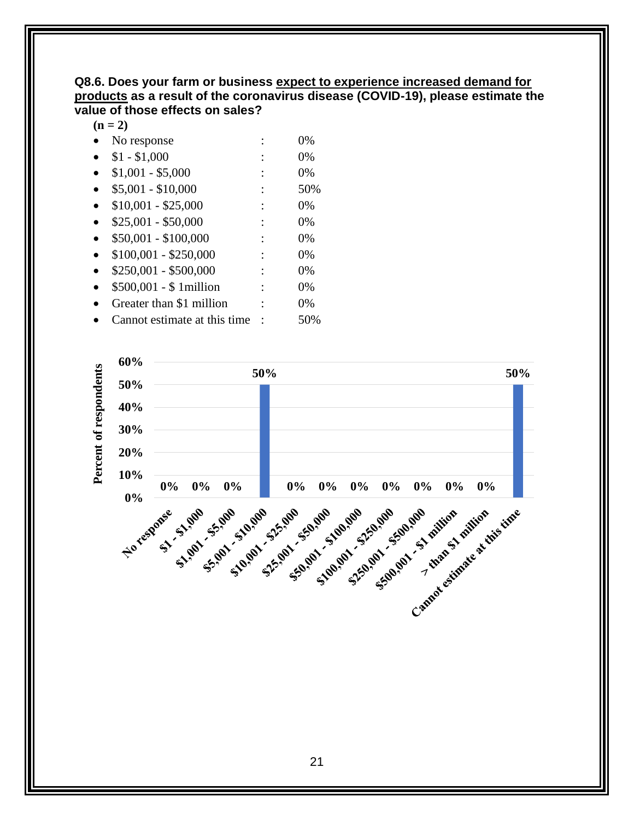#### <span id="page-26-0"></span>**Q8.6. Does your farm or business expect to experience increased demand for products as a result of the coronavirus disease (COVID-19), please estimate the value of those effects on sales?**

 $(n = 2)$ 

- No response : 0%
- $$1 $1,000$  : 0%
- $$1,001 $5,000$  : 0%
- $$5,001 $10,000$  : 50%
- $$10,001 $25,000$  : 0%
- $$25,001 $50,000$  : 0%
- $$50,001 $100,000$  : 0%
- $$100,001 $250,000$  : 0%
- $$250,001 $500,000$  : 0%
- \$500,001 \$ 1million : 0%
- Greater than \$1 million : 0%
- Cannot estimate at this time : 50%

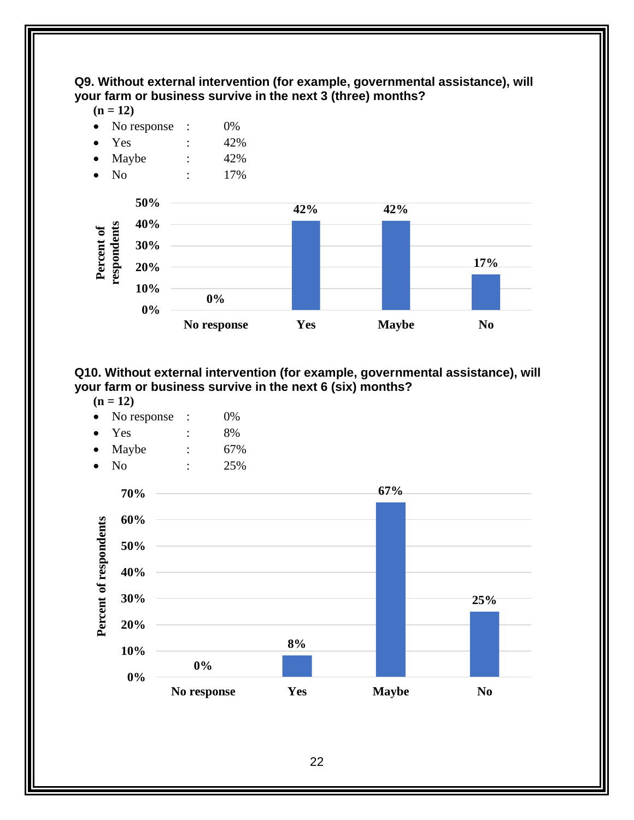<span id="page-27-0"></span>**Q9. Without external intervention (for example, governmental assistance), will your farm or business survive in the next 3 (three) months?**

 $(n = 12)$ 

- No response : 0%
- Yes : 42%
- Maybe : 42%
- No : 17%



#### <span id="page-27-1"></span>**Q10. Without external intervention (for example, governmental assistance), will your farm or business survive in the next 6 (six) months?**

- $(n = 12)$
- No response : 0%
- $Yes$  :  $8\%$
- Maybe : 67%



<span id="page-27-2"></span>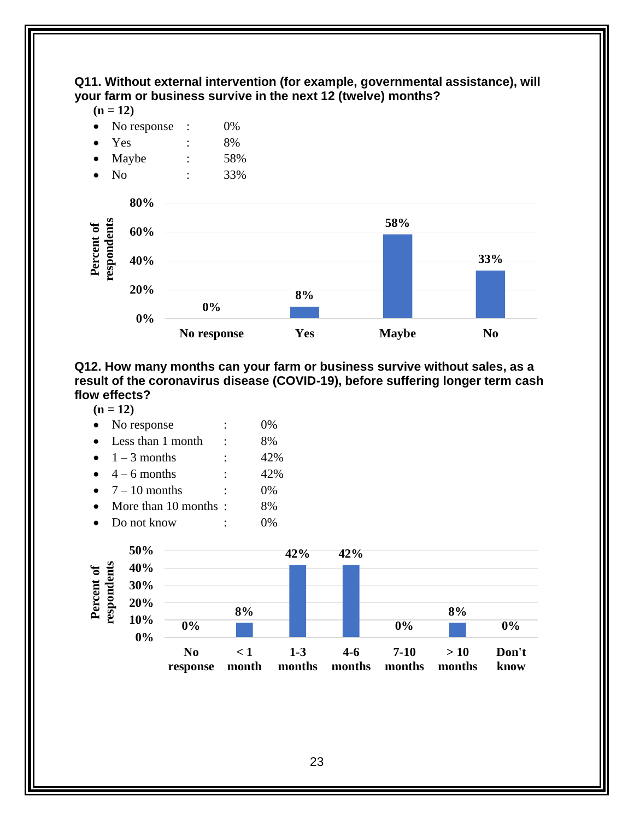#### **Q11. Without external intervention (for example, governmental assistance), will your farm or business survive in the next 12 (twelve) months?**

 $(n = 12)$ 



<span id="page-28-0"></span>**Q12. How many months can your farm or business survive without sales, as a result of the coronavirus disease (COVID-19), before suffering longer term cash flow effects?**

 $(n = 12)$ 

| No response          | $0\%$ |
|----------------------|-------|
| Less than 1 month    | 8%    |
| $1 - 3$ months       | 42%   |
| $4 - 6$ months       | 42%   |
| • $7-10$ months      | $0\%$ |
| More than 10 months: | 8%    |
| Do not know          |       |

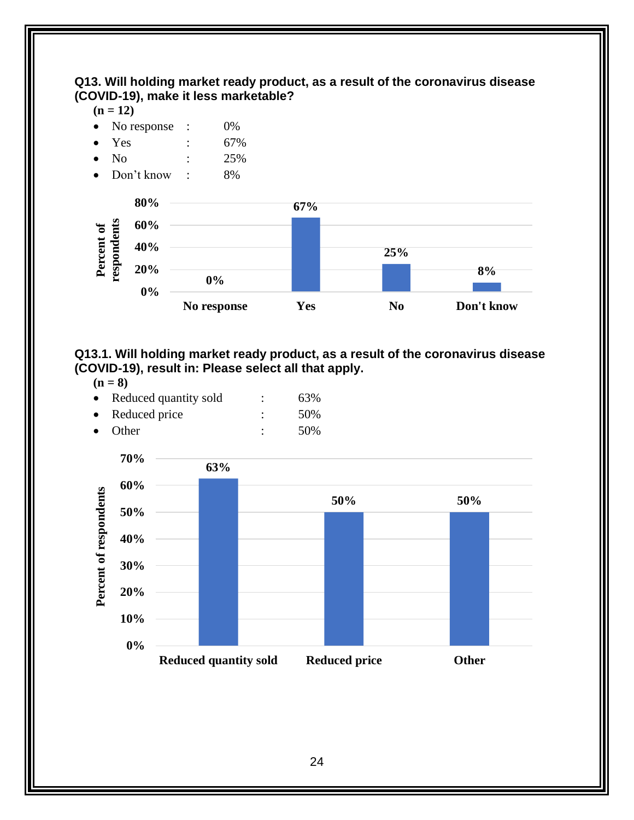<span id="page-29-0"></span>**Q13. Will holding market ready product, as a result of the coronavirus disease (COVID-19), make it less marketable?**

 $(n = 12)$ 



<span id="page-29-1"></span>**Q13.1. Will holding market ready product, as a result of the coronavirus disease (COVID-19), result in: Please select all that apply.**

 $(n = 8)$ 

|           | Reduced quantity sold | 63% |
|-----------|-----------------------|-----|
| $\bullet$ | Reduced price         | 50% |

Other : 50%

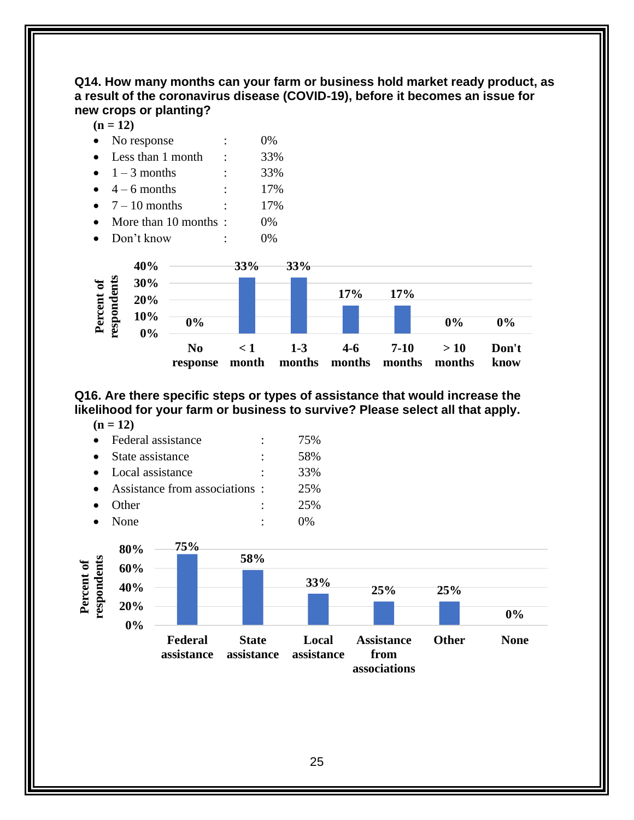#### <span id="page-30-0"></span>**Q14. How many months can your farm or business hold market ready product, as a result of the coronavirus disease (COVID-19), before it becomes an issue for new crops or planting?**

 $(n = 12)$ 

|  | No response |  | $0\%$ |
|--|-------------|--|-------|
|--|-------------|--|-------|

- Less than 1 month : 33%
- $1 3$  months : 33%
- $4 6$  months : 17%  $7 - 10$  months : 17%
- More than 10 months : 0%
- Don't know : 0%



#### <span id="page-30-1"></span>**Q16. Are there specific steps or types of assistance that would increase the likelihood for your farm or business to survive? Please select all that apply.**

| Federal assistance            | 75% |
|-------------------------------|-----|
| State assistance              | 58% |
| Local assistance              | 33% |
| Assistance from associations: | 25% |
| Other                         | 25% |
| None                          |     |

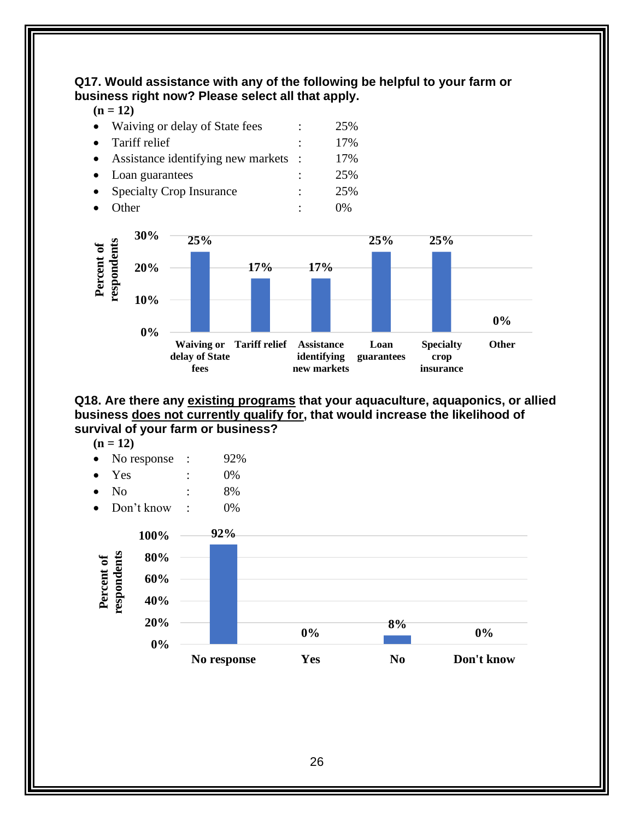<span id="page-31-0"></span>**Q17. Would assistance with any of the following be helpful to your farm or business right now? Please select all that apply.**

 $(n = 12)$ 

| Waiving or delay of State fees     | 25% |
|------------------------------------|-----|
| Tariff relief                      | 17% |
| Assistance identifying new markets | 17% |
| Loan guarantees                    | 25% |
| <b>Specialty Crop Insurance</b>    | 25% |
| )ther                              | በ%  |



<span id="page-31-1"></span>**Q18. Are there any existing programs that your aquaculture, aquaponics, or allied business does not currently qualify for, that would increase the likelihood of survival of your farm or business?**

- $(n = 12)$
- No response : 92%
- $Yes$  :  $0\%$
- No : 8%
- Don't know : 0%

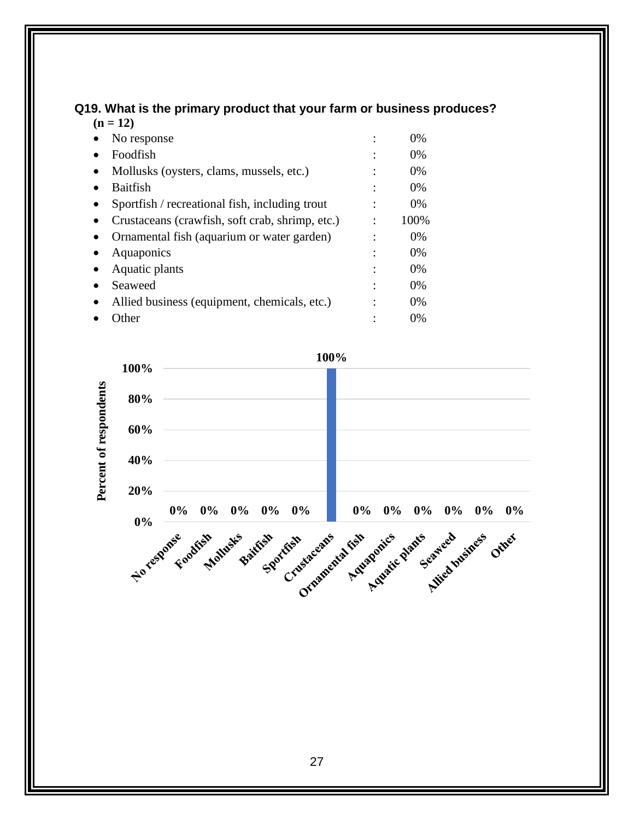#### <span id="page-32-0"></span>**Q19. What is the primary product that your farm or business produces? (n = 12)**

| 1 A.A | - 12                                            |       |
|-------|-------------------------------------------------|-------|
|       | No response                                     | 0%    |
|       | Foodfish                                        | 0%    |
|       | Mollusks (oysters, clams, mussels, etc.)        | 0%    |
|       | <b>Baitfish</b>                                 | $0\%$ |
|       | Sportfish / recreational fish, including trout  | $0\%$ |
|       | Crustaceans (crawfish, soft crab, shrimp, etc.) | 100%  |
|       | Ornamental fish (aquarium or water garden)      | $0\%$ |
|       | Aquaponics                                      | 0%    |
|       | Aquatic plants                                  | $0\%$ |
|       | Seaweed                                         | 0%    |
|       | Allied business (equipment, chemicals, etc.)    | $0\%$ |
|       | ther                                            | $0\%$ |
|       |                                                 |       |

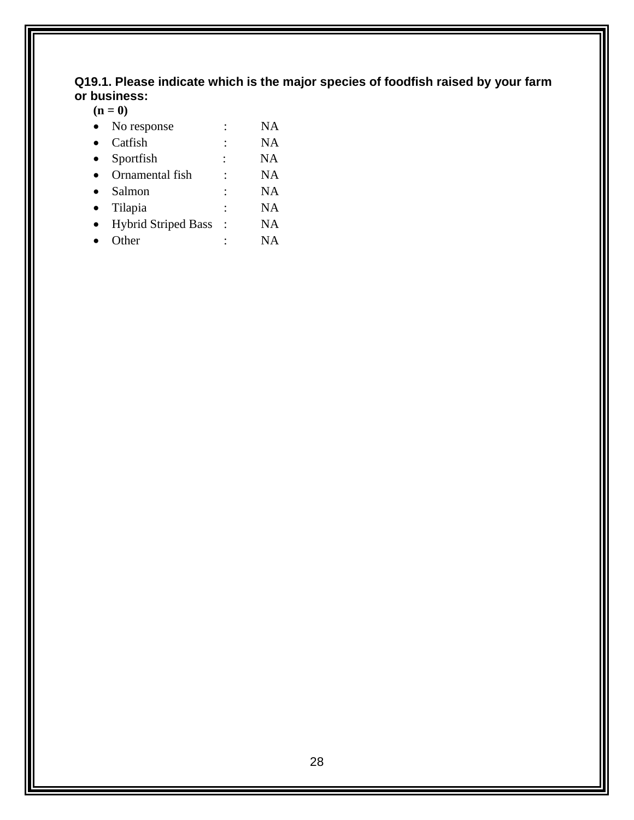#### <span id="page-33-0"></span>**Q19.1. Please indicate which is the major species of foodfish raised by your farm or business:**

**(n = 0)**

| No response                |                      | NA        |
|----------------------------|----------------------|-----------|
| Catfish                    | ٠                    | NA        |
| Sportfish                  |                      | <b>NA</b> |
| Ornamental fish            |                      | <b>NA</b> |
| Salmon                     |                      | NA        |
| Tilapia                    | $\ddot{\phantom{0}}$ | NA        |
| <b>Hybrid Striped Bass</b> |                      | NA        |
| Other                      |                      | NA        |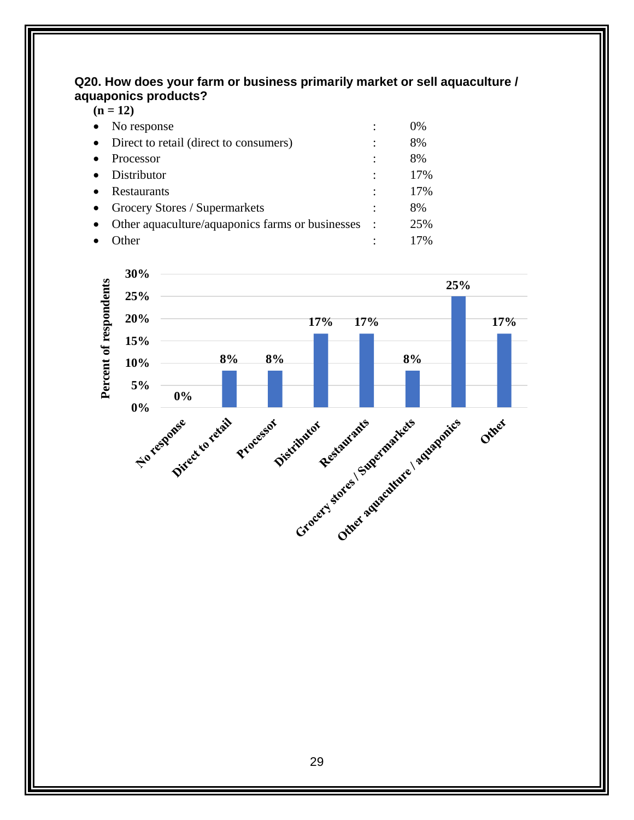#### <span id="page-34-0"></span>**Q20. How does your farm or business primarily market or sell aquaculture / aquaponics products?**  $(n = 12)$

| $(11 - 12)$                                      |                      |       |  |  |
|--------------------------------------------------|----------------------|-------|--|--|
| No response                                      | ٠                    | $0\%$ |  |  |
| Direct to retail (direct to consumers)           | ٠                    | 8%    |  |  |
| Processor                                        | ٠                    | 8%    |  |  |
| Distributor                                      | ٠                    | 17%   |  |  |
| Restaurants                                      | ٠                    | 17%   |  |  |
| Grocery Stores / Supermarkets                    |                      | 8%    |  |  |
| Other aquaculture/aquaponics farms or businesses | $\ddot{\phantom{1}}$ | 25%   |  |  |
| ther                                             |                      | 17%   |  |  |

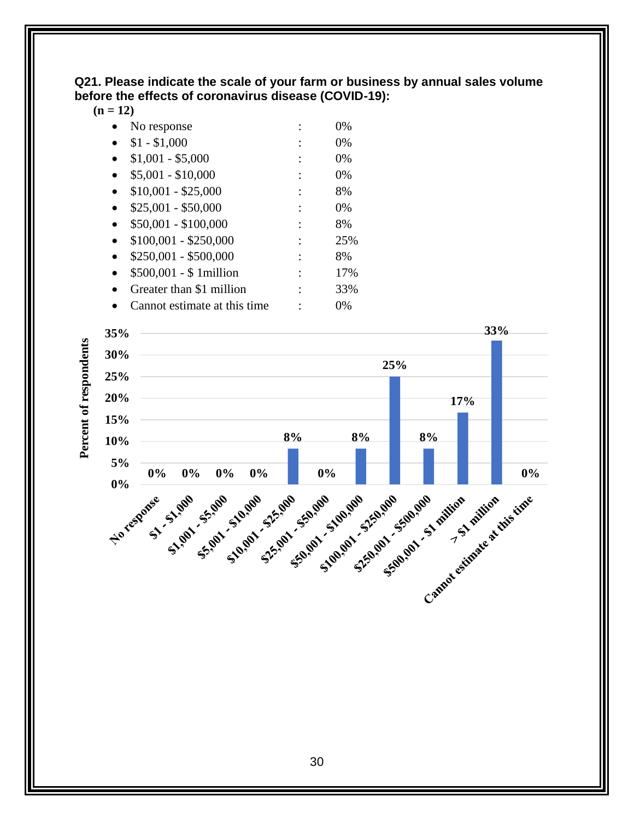<span id="page-35-0"></span>**Q21. Please indicate the scale of your farm or business by annual sales volume before the effects of coronavirus disease (COVID-19):**

**(n = 12)**

|           | No response                  | 0%       |
|-----------|------------------------------|----------|
|           | $$1 - $1,000$                | 0%       |
|           | $$1,001 - $5,000$            | 0%       |
| $\bullet$ | $$5,001 - $10,000$           | 0%       |
|           | $$10,001 - $25,000$          | 8%       |
|           | $$25,001 - $50,000$          | 0%       |
|           | $$50,001 - $100,000$         | 8%       |
|           | $$100,001 - $250,000$        | 25%      |
| $\bullet$ | $$250,001 - $500,000$        | 8%       |
|           | $$500,001 - $1$ million      | 17%      |
|           | Greater than \$1 million     | 33%      |
|           | Connot octimoto ot this timo | $\Omega$ |

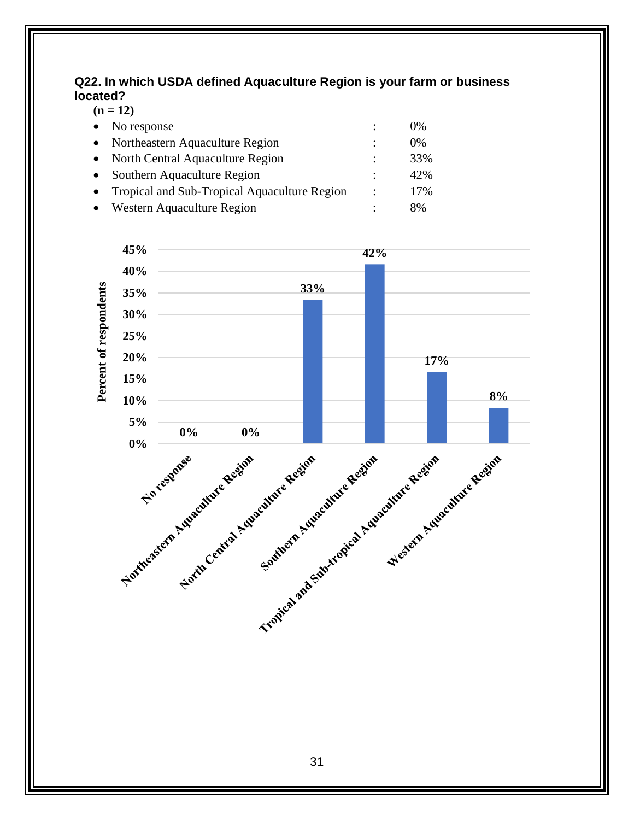#### <span id="page-36-0"></span>**Q22. In which USDA defined Aquaculture Region is your farm or business located?**  $(12)$

|           | $(II = IZ)$                                  |                |       |  |  |
|-----------|----------------------------------------------|----------------|-------|--|--|
|           | No response                                  |                | $0\%$ |  |  |
|           | Northeastern Aquaculture Region              |                | $0\%$ |  |  |
| $\bullet$ | North Central Aquaculture Region             | ٠              | 33%   |  |  |
|           | Southern Aquaculture Region                  | ٠              | 42%   |  |  |
|           | Tropical and Sub-Tropical Aquaculture Region | $\ddot{\cdot}$ | 17%   |  |  |
|           | Western Aquaculture Region                   |                | 8%    |  |  |
|           |                                              |                |       |  |  |